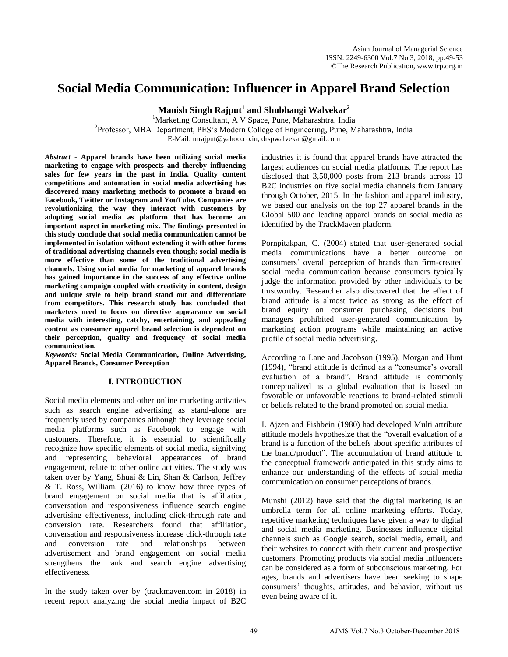# **Social Media Communication: Influencer in Apparel Brand Selection**

**Manish Singh Rajput<sup>1</sup> and Shubhangi Walvekar<sup>2</sup>**

<sup>1</sup>Marketing Consultant, A V Space, Pune, Maharashtra, India <sup>2</sup>Professor, MBA Department, PES's Modern College of Engineering, Pune, Maharashtra, India E-Mail: mrajput@yahoo.co.in, drspwalvekar@gmail.com

*Abstract* **- Apparel brands have been utilizing social media marketing to engage with prospects and thereby influencing sales for few years in the past in India. Quality content competitions and automation in social media advertising has discovered many marketing methods to promote a brand on Facebook, Twitter or Instagram and YouTube. Companies are revolutionizing the way they interact with customers by adopting social media as platform that has become an important aspect in marketing mix. The findings presented in this study conclude that social media communication cannot be implemented in isolation without extending it with other forms of traditional advertising channels even though; social media is more effective than some of the traditional advertising channels. Using social media for marketing of apparel brands has gained importance in the success of any effective online marketing campaign coupled with creativity in content, design and unique style to help brand stand out and differentiate from competitors. This research study has concluded that marketers need to focus on directive appearance on social media with interesting, catchy, entertaining, and appealing content as consumer apparel brand selection is dependent on their perception, quality and frequency of social media communication.** 

*Keywords:* **Social Media Communication, Online Advertising, Apparel Brands, Consumer Perception**

### **I. INTRODUCTION**

Social media elements and other online marketing activities such as search engine advertising as stand-alone are frequently used by companies although they leverage social media platforms such as Facebook to engage with customers. Therefore, it is essential to scientifically recognize how specific elements of social media, signifying and representing behavioral appearances of brand engagement, relate to other online activities. The study was taken over by Yang, Shuai & Lin, Shan & Carlson, Jeffrey & T. Ross, William. (2016) to know how three types of brand engagement on social media that is affiliation, conversation and responsiveness influence search engine advertising effectiveness, including click-through rate and conversion rate. Researchers found that affiliation, conversation and responsiveness increase click-through rate and conversion rate and relationships between advertisement and brand engagement on social media strengthens the rank and search engine advertising effectiveness.

In the study taken over by (trackmaven.com in 2018) in recent report analyzing the social media impact of B2C industries it is found that apparel brands have attracted the largest audiences on social media platforms. The report has disclosed that 3,50,000 posts from 213 brands across 10 B2C industries on five social media channels from January through October, 2015. In the fashion and apparel industry, we based our analysis on the top 27 apparel brands in the Global 500 and leading apparel brands on social media as identified by the TrackMaven platform.

Pornpitakpan, C. (2004) stated that user-generated social media communications have a better outcome on consumers' overall perception of brands than firm-created social media communication because consumers typically judge the information provided by other individuals to be trustworthy. Researcher also discovered that the effect of brand attitude is almost twice as strong as the effect of brand equity on consumer purchasing decisions but managers prohibited user-generated communication by marketing action programs while maintaining an active profile of social media advertising.

According to Lane and Jacobson (1995), Morgan and Hunt (1994), "brand attitude is defined as a "consumer's overall evaluation of a brand". Brand attitude is commonly conceptualized as a global evaluation that is based on favorable or unfavorable reactions to brand-related stimuli or beliefs related to the brand promoted on social media.

I. Ajzen and Fishbein (1980) had developed Multi attribute attitude models hypothesize that the "overall evaluation of a brand is a function of the beliefs about specific attributes of the brand/product". The accumulation of brand attitude to the conceptual framework anticipated in this study aims to enhance our understanding of the effects of social media communication on consumer perceptions of brands.

Munshi (2012) have said that the digital marketing is an umbrella term for all online marketing efforts. Today, repetitive marketing techniques have given a way to digital and social media marketing. Businesses influence digital channels such as Google search, social media, email, and their websites to connect with their current and prospective customers. Promoting products via social media influencers can be considered as a form of subconscious marketing. For ages, brands and advertisers have been seeking to shape consumers' thoughts, attitudes, and behavior, without us even being aware of it.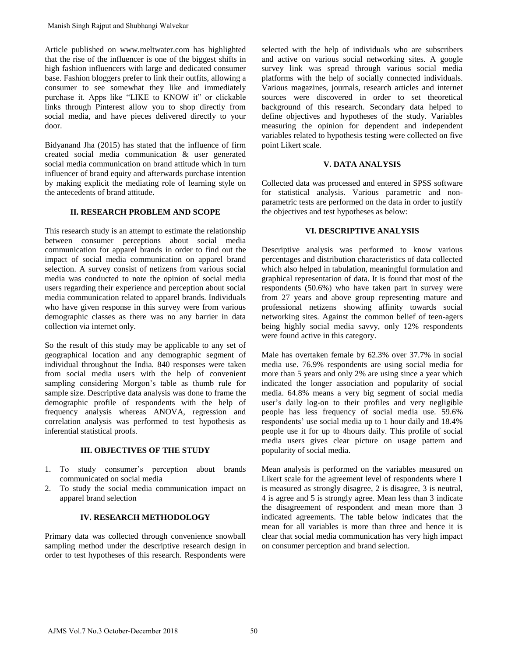Article published on [www.meltwater.com](http://www.meltwater.com/) has highlighted that the rise of the influencer is one of the biggest shifts in high fashion influencers with large and dedicated consumer base. Fashion bloggers prefer to link their outfits, allowing a consumer to see somewhat they like and immediately purchase it. Apps like "LIKE to KNOW it" or clickable links through Pinterest allow you to shop directly from social media, and have pieces delivered directly to your door.

Bidyanand Jha (2015) has stated that the influence of firm created social media communication & user generated social media communication on brand attitude which in turn influencer of brand equity and afterwards purchase intention by making explicit the mediating role of learning style on the antecedents of brand attitude.

# **II. RESEARCH PROBLEM AND SCOPE**

This research study is an attempt to estimate the relationship between consumer perceptions about social media communication for apparel brands in order to find out the impact of social media communication on apparel brand selection. A survey consist of netizens from various social media was conducted to note the opinion of social media users regarding their experience and perception about social media communication related to apparel brands. Individuals who have given response in this survey were from various demographic classes as there was no any barrier in data collection via internet only. Manish Singh Rajput and Shubhangi Walvekar<br>
Article problished on www.melturetar.com this general contents on<br>
that the rive of the influencer is one of the biggest shifts in<br>
that the rive of the influencer with large and

So the result of this study may be applicable to any set of geographical location and any demographic segment of individual throughout the India. 840 responses were taken from social media users with the help of convenient sampling considering Morgon's table as thumb rule for sample size. Descriptive data analysis was done to frame the demographic profile of respondents with the help of frequency analysis whereas ANOVA, regression and correlation analysis was performed to test hypothesis as inferential statistical proofs.

# **III. OBJECTIVES OF THE STUDY**

- 1. To study consumer's perception about brands communicated on social media
- 2. To study the social media communication impact on apparel brand selection

# **IV. RESEARCH METHODOLOGY**

Primary data was collected through convenience snowball sampling method under the descriptive research design in order to test hypotheses of this research. Respondents were selected with the help of individuals who are subscribers and active on various social networking sites. A google survey link was spread through various social media platforms with the help of socially connected individuals. Various magazines, journals, research articles and internet sources were discovered in order to set theoretical background of this research. Secondary data helped to define objectives and hypotheses of the study. Variables measuring the opinion for dependent and independent variables related to hypothesis testing were collected on five point Likert scale.

# **V. DATA ANALYSIS**

Collected data was processed and entered in SPSS software for statistical analysis. Various parametric and nonparametric tests are performed on the data in order to justify the objectives and test hypotheses as below:

## **VI. DESCRIPTIVE ANALYSIS**

Descriptive analysis was performed to know various percentages and distribution characteristics of data collected which also helped in tabulation, meaningful formulation and graphical representation of data. It is found that most of the respondents (50.6%) who have taken part in survey were from 27 years and above group representing mature and professional netizens showing affinity towards social networking sites. Against the common belief of teen-agers being highly social media savvy, only 12% respondents were found active in this category.

Male has overtaken female by 62.3% over 37.7% in social media use. 76.9% respondents are using social media for more than 5 years and only 2% are using since a year which indicated the longer association and popularity of social media. 64.8% means a very big segment of social media user's daily log-on to their profiles and very negligible people has less frequency of social media use. 59.6% respondents' use social media up to 1 hour daily and 18.4% people use it for up to 4hours daily. This profile of social media users gives clear picture on usage pattern and popularity of social media.

Mean analysis is performed on the variables measured on Likert scale for the agreement level of respondents where 1 is measured as strongly disagree, 2 is disagree, 3 is neutral, 4 is agree and 5 is strongly agree. Mean less than 3 indicate the disagreement of respondent and mean more than 3 indicated agreements. The table below indicates that the mean for all variables is more than three and hence it is clear that social media communication has very high impact on consumer perception and brand selection.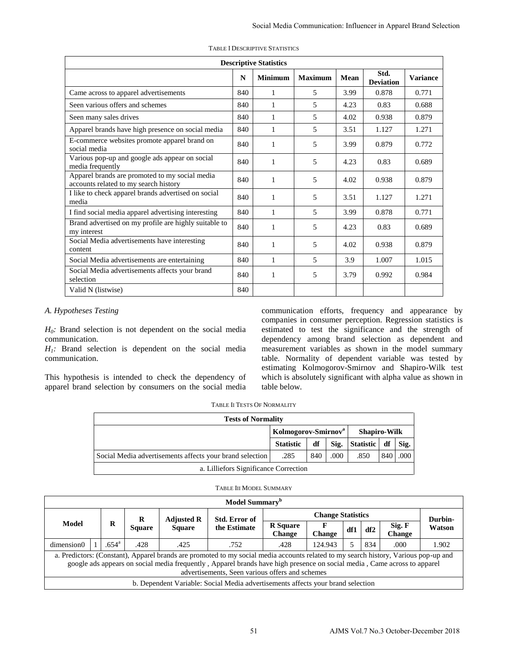|                                                                              |                |                                       |                                                                                                                                                                                                                                                             |                               |     | <b>Descriptive Statistics</b>                   |                                                                                                                                                                                                                                                                                                                                           |                          |                     |                          |                  |                   |
|------------------------------------------------------------------------------|----------------|---------------------------------------|-------------------------------------------------------------------------------------------------------------------------------------------------------------------------------------------------------------------------------------------------------------|-------------------------------|-----|-------------------------------------------------|-------------------------------------------------------------------------------------------------------------------------------------------------------------------------------------------------------------------------------------------------------------------------------------------------------------------------------------------|--------------------------|---------------------|--------------------------|------------------|-------------------|
|                                                                              |                |                                       |                                                                                                                                                                                                                                                             |                               | N   | <b>Minimum</b>                                  | <b>Maximum</b>                                                                                                                                                                                                                                                                                                                            | Mean                     |                     | Std.<br><b>Deviation</b> |                  | <b>Variance</b>   |
|                                                                              |                | Came across to apparel advertisements |                                                                                                                                                                                                                                                             |                               | 840 | 1                                               | 5                                                                                                                                                                                                                                                                                                                                         | 3.99                     |                     | 0.878                    |                  | 0.771             |
|                                                                              |                | Seen various offers and schemes       |                                                                                                                                                                                                                                                             |                               | 840 | $\mathbf{1}$                                    | 5                                                                                                                                                                                                                                                                                                                                         | 4.23                     |                     | 0.83                     |                  | 0.688             |
| Seen many sales drives                                                       |                |                                       |                                                                                                                                                                                                                                                             |                               | 840 | $\mathbf{1}$                                    | 5                                                                                                                                                                                                                                                                                                                                         | 4.02                     |                     | 0.938                    |                  | 0.879             |
|                                                                              |                |                                       | Apparel brands have high presence on social media                                                                                                                                                                                                           |                               | 840 | $\mathbf{1}$                                    | 5                                                                                                                                                                                                                                                                                                                                         | 3.51                     |                     | 1.127                    |                  | 1.271             |
| social media                                                                 |                |                                       | E-commerce websites promote apparel brand on                                                                                                                                                                                                                |                               | 840 | $\mathbf{1}$                                    | 5                                                                                                                                                                                                                                                                                                                                         | 3.99                     |                     | 0.879                    |                  | 0.772             |
| media frequently                                                             |                |                                       | Various pop-up and google ads appear on social                                                                                                                                                                                                              |                               | 840 | $\mathbf{1}$                                    | 5                                                                                                                                                                                                                                                                                                                                         | 4.23                     |                     | 0.83                     |                  | 0.689             |
|                                                                              |                | accounts related to my search history | Apparel brands are promoted to my social media                                                                                                                                                                                                              |                               | 840 | $\mathbf{1}$                                    | 5                                                                                                                                                                                                                                                                                                                                         | 4.02                     |                     | 0.938                    |                  | 0.879             |
| media                                                                        |                |                                       | I like to check apparel brands advertised on social                                                                                                                                                                                                         |                               | 840 | $\mathbf{1}$                                    | 5                                                                                                                                                                                                                                                                                                                                         | 3.51                     |                     | 1.127                    |                  | 1.271             |
|                                                                              |                |                                       | I find social media apparel advertising interesting                                                                                                                                                                                                         |                               | 840 | $\mathbf{1}$                                    | 5                                                                                                                                                                                                                                                                                                                                         | 3.99                     |                     | 0.878                    |                  | 0.771             |
| Brand advertised on my profile are highly suitable to<br>my interest         |                |                                       |                                                                                                                                                                                                                                                             |                               |     | $\mathbf{1}$                                    | 5                                                                                                                                                                                                                                                                                                                                         | 4.23                     |                     | 0.83                     |                  | 0.689             |
| content                                                                      |                |                                       | Social Media advertisements have interesting                                                                                                                                                                                                                |                               | 840 | $\mathbf{1}$                                    | 5                                                                                                                                                                                                                                                                                                                                         | 4.02                     |                     | 0.938                    |                  | 0.879             |
|                                                                              |                |                                       | Social Media advertisements are entertaining                                                                                                                                                                                                                |                               | 840 | $\mathbf{1}$                                    | 5                                                                                                                                                                                                                                                                                                                                         | 3.9                      |                     | 1.007                    |                  | 1.015             |
| selection                                                                    |                |                                       | Social Media advertisements affects your brand                                                                                                                                                                                                              |                               | 840 | $\mathbf{1}$                                    | 5                                                                                                                                                                                                                                                                                                                                         | 3.79                     |                     | 0.992                    |                  | 0.984             |
| Valid N (listwise)                                                           |                |                                       |                                                                                                                                                                                                                                                             |                               | 840 |                                                 |                                                                                                                                                                                                                                                                                                                                           |                          |                     |                          |                  |                   |
|                                                                              |                |                                       | rand selection is not dependent on the social media<br>rand selection is dependent on the social media                                                                                                                                                      |                               |     |                                                 | communication efforts, frequency and appearance b<br>companies in consumer perception. Regression statistics i<br>estimated to test the significance and the strength o<br>dependency among brand selection as dependent and<br>measurement variables as shown in the model summar<br>table. Normality of dependent variable was tested b |                          |                     |                          |                  |                   |
|                                                                              |                |                                       | sypothesis is intended to check the dependency of<br>I brand selection by consumers on the social media                                                                                                                                                     |                               |     | table below.                                    | estimating Kolmogorov-Smirnov and Shapiro-Wilk tes<br>which is absolutely significant with alpha value as shown i                                                                                                                                                                                                                         |                          |                     |                          |                  |                   |
|                                                                              |                |                                       |                                                                                                                                                                                                                                                             |                               |     | TABLE II TESTS OF NORMALITY                     |                                                                                                                                                                                                                                                                                                                                           |                          |                     |                          |                  |                   |
|                                                                              |                |                                       |                                                                                                                                                                                                                                                             |                               |     | <b>Tests of Normality</b>                       |                                                                                                                                                                                                                                                                                                                                           |                          |                     |                          |                  |                   |
|                                                                              |                |                                       |                                                                                                                                                                                                                                                             |                               |     |                                                 | Kolmogorov-Smirnov <sup>a</sup>                                                                                                                                                                                                                                                                                                           |                          | <b>Shapiro-Wilk</b> |                          |                  |                   |
|                                                                              |                |                                       |                                                                                                                                                                                                                                                             |                               |     | <b>Statistic</b>                                | df                                                                                                                                                                                                                                                                                                                                        | Sig.                     | <b>Statistic</b>    | df                       | Sig.             |                   |
|                                                                              |                |                                       | Social Media advertisements affects your brand selection                                                                                                                                                                                                    |                               |     | .285<br>a. Lilliefors Significance Correction   | 840                                                                                                                                                                                                                                                                                                                                       | .000                     | .850                | 840                      | .000             |                   |
|                                                                              |                |                                       |                                                                                                                                                                                                                                                             |                               |     | TABLE III MODEL SUMMARY                         |                                                                                                                                                                                                                                                                                                                                           |                          |                     |                          |                  |                   |
|                                                                              |                |                                       |                                                                                                                                                                                                                                                             |                               |     | Model Summary <sup>b</sup>                      |                                                                                                                                                                                                                                                                                                                                           |                          |                     |                          |                  |                   |
|                                                                              |                |                                       |                                                                                                                                                                                                                                                             |                               |     |                                                 |                                                                                                                                                                                                                                                                                                                                           | <b>Change Statistics</b> |                     |                          |                  |                   |
|                                                                              | R              | R<br><b>Square</b>                    | <b>Adjusted R</b><br><b>Square</b>                                                                                                                                                                                                                          | Std. Error of<br>the Estimate |     | <b>R</b> Square<br>Change                       | F<br><b>Change</b>                                                                                                                                                                                                                                                                                                                        | df1                      | df <sub>2</sub>     |                          | Sig. F<br>Change | Durbin-<br>Watson |
| $\mathbf{1}$                                                                 | $.654^{\circ}$ | .428                                  | .425                                                                                                                                                                                                                                                        | .752                          |     | .428                                            | 124.943                                                                                                                                                                                                                                                                                                                                   | 5                        | 834                 |                          | .000             | 1.902             |
|                                                                              |                |                                       | redictors: (Constant), Apparel brands are promoted to my social media accounts related to my search history, Various pop-up and<br>google ads appears on social media frequently, Apparel brands have high presence on social media, Came across to apparel |                               |     |                                                 |                                                                                                                                                                                                                                                                                                                                           |                          |                     |                          |                  |                   |
| <b>otheses Testing</b><br>unication.<br>unication.<br><b>Todel</b><br>nsion0 |                |                                       | b. Dependent Variable: Social Media advertisements affects your brand selection                                                                                                                                                                             |                               |     | advertisements, Seen various offers and schemes |                                                                                                                                                                                                                                                                                                                                           |                          |                     |                          |                  |                   |

*A. Hypotheses Testing* 

*H0:* Brand selection is not dependent on the social media communication.

 $H_1$ : Brand selection is dependent on the social media communication.

This hypothesis is intended to check the dependency of apparel brand selection by consumers on the social media

TABLE II TESTS OF NORMALITY

| <b>Tests of Normality</b>                                |                  |     |                  |      |      |      |  |  |  |
|----------------------------------------------------------|------------------|-----|------------------|------|------|------|--|--|--|
| Kolmogorov-Smirnov <sup>a</sup><br><b>Shapiro-Wilk</b>   |                  |     |                  |      |      |      |  |  |  |
|                                                          | <b>Statistic</b> | df  | <b>Statistic</b> | df   | Sig. |      |  |  |  |
| Social Media advertisements affects your brand selection | .285             | 840 | .000             | .850 | 840  | .000 |  |  |  |
| a. Lilliefors Significance Correction                    |                  |     |                  |      |      |      |  |  |  |

|            |  |                |               |                   | Model Summary <sup>b</sup>                                                                                                                                                                                                                                                                                         |                                  |         |     |     |                         |        |
|------------|--|----------------|---------------|-------------------|--------------------------------------------------------------------------------------------------------------------------------------------------------------------------------------------------------------------------------------------------------------------------------------------------------------------|----------------------------------|---------|-----|-----|-------------------------|--------|
|            |  |                | R             | <b>Adjusted R</b> | Std. Error of                                                                                                                                                                                                                                                                                                      |                                  | Durbin- |     |     |                         |        |
| Model      |  | R              | <b>Square</b> | <b>Square</b>     | the Estimate                                                                                                                                                                                                                                                                                                       | <b>R</b> Square<br><b>Change</b> | Change  | df1 | df2 | Sig. F<br><b>Change</b> | Watson |
| dimension0 |  | $.654^{\circ}$ | .428          | .425              | .752                                                                                                                                                                                                                                                                                                               | .428                             | 124.943 |     | 834 | .000                    | 1.902  |
|            |  |                |               |                   | a. Predictors: (Constant), Apparel brands are promoted to my social media accounts related to my search history, Various pop-up and<br>google ads appears on social media frequently, Apparel brands have high presence on social media, Came across to apparel<br>advertisements, Seen various offers and schemes |                                  |         |     |     |                         |        |
|            |  |                |               |                   | b. Dependent Variable: Social Media advertisements affects your brand selection                                                                                                                                                                                                                                    |                                  |         |     |     |                         |        |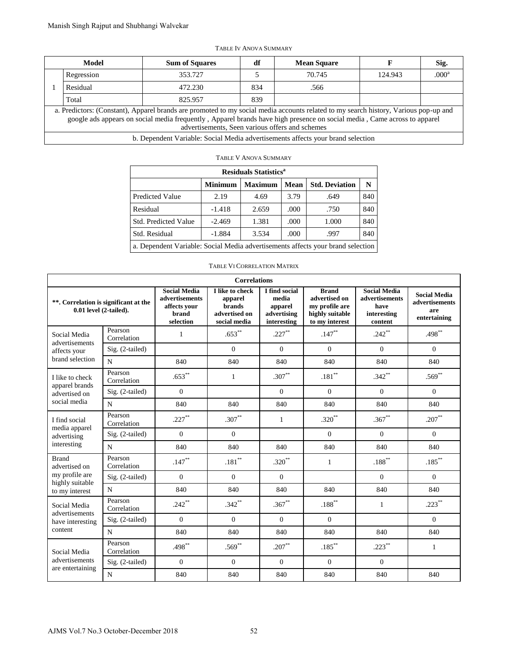| Model |                                                                                                                                                                                                                                                                                                                    | <b>Sum of Squares</b>                                                           | df  | <b>Mean Square</b> |         | Sig.              |  |  |  |  |
|-------|--------------------------------------------------------------------------------------------------------------------------------------------------------------------------------------------------------------------------------------------------------------------------------------------------------------------|---------------------------------------------------------------------------------|-----|--------------------|---------|-------------------|--|--|--|--|
|       | Regression                                                                                                                                                                                                                                                                                                         | 353.727                                                                         |     | 70.745             | 124.943 | .000 <sup>a</sup> |  |  |  |  |
|       | Residual                                                                                                                                                                                                                                                                                                           | 472.230                                                                         | 834 | .566               |         |                   |  |  |  |  |
|       | Total                                                                                                                                                                                                                                                                                                              | 825.957                                                                         | 839 |                    |         |                   |  |  |  |  |
|       | a. Predictors: (Constant), Apparel brands are promoted to my social media accounts related to my search history, Various pop-up and<br>google ads appears on social media frequently, Apparel brands have high presence on social media, Came across to apparel<br>advertisements, Seen various offers and schemes |                                                                                 |     |                    |         |                   |  |  |  |  |
|       |                                                                                                                                                                                                                                                                                                                    | b. Dependent Variable: Social Media advertisements affects your brand selection |     |                    |         |                   |  |  |  |  |

#### TABLE IV ANOVA SUMMARY

#### TABLE V ANOVA SUMMARY

| <b>Residuals Statistics</b> <sup>a</sup>                                        |                |                |      |                       |     |  |  |  |  |  |
|---------------------------------------------------------------------------------|----------------|----------------|------|-----------------------|-----|--|--|--|--|--|
|                                                                                 | <b>Minimum</b> | <b>Maximum</b> | Mean | <b>Std. Deviation</b> | N   |  |  |  |  |  |
| <b>Predicted Value</b>                                                          | 2.19           | 4.69           | 3.79 | .649                  | 840 |  |  |  |  |  |
| Residual                                                                        | $-1.418$       | 2.659          | .000 | .750                  | 840 |  |  |  |  |  |
| <b>Std. Predicted Value</b>                                                     | $-2.469$       | 1.381          | .000 | 1.000                 | 840 |  |  |  |  |  |
| Std. Residual                                                                   | $-1.884$       | 3.534          | .000 | .997                  | 840 |  |  |  |  |  |
| a. Dependent Variable: Social Media advertisements affects your brand selection |                |                |      |                       |     |  |  |  |  |  |

#### TABLE VI CORRELATION MATRIX

|                            | <b>Model</b>                                       |                                           |               | <b>Sum of Squares</b>                 |                                                 | df                  |                                         |                        | <b>Mean Square</b>                                                                                                                                                                                                                                              |                                       | F       | Sig.                                  |
|----------------------------|----------------------------------------------------|-------------------------------------------|---------------|---------------------------------------|-------------------------------------------------|---------------------|-----------------------------------------|------------------------|-----------------------------------------------------------------------------------------------------------------------------------------------------------------------------------------------------------------------------------------------------------------|---------------------------------------|---------|---------------------------------------|
|                            | Regression                                         |                                           |               | 353.727                               |                                                 | 5                   |                                         |                        | 70.745                                                                                                                                                                                                                                                          |                                       | 124.943 | .000 <sup>a</sup>                     |
| 1                          | Residual                                           |                                           |               | 472.230                               |                                                 | 834                 |                                         |                        | .566                                                                                                                                                                                                                                                            |                                       |         |                                       |
|                            | Total                                              |                                           |               | 825.957                               |                                                 | 839                 |                                         |                        |                                                                                                                                                                                                                                                                 |                                       |         |                                       |
|                            |                                                    |                                           |               |                                       | advertisements, Seen various offers and schemes |                     |                                         |                        | a. Predictors: (Constant), Apparel brands are promoted to my social media accounts related to my search history, Various pop-up and<br>google ads appears on social media frequently, Apparel brands have high presence on social media, Came across to apparel |                                       |         |                                       |
|                            |                                                    |                                           |               |                                       |                                                 |                     |                                         |                        | b. Dependent Variable: Social Media advertisements affects your brand selection                                                                                                                                                                                 |                                       |         |                                       |
|                            |                                                    |                                           |               |                                       | <b>TABLE V ANOVA SUMMARY</b>                    |                     |                                         |                        |                                                                                                                                                                                                                                                                 |                                       |         |                                       |
|                            |                                                    |                                           |               |                                       |                                                 |                     | <b>Residuals Statistics<sup>a</sup></b> |                        |                                                                                                                                                                                                                                                                 |                                       |         |                                       |
|                            |                                                    |                                           |               |                                       | <b>Minimum</b>                                  |                     | <b>Maximum</b>                          | Mean                   | <b>Std. Deviation</b>                                                                                                                                                                                                                                           | ${\bf N}$                             |         |                                       |
|                            |                                                    |                                           |               | Predicted Value                       | 2.19                                            |                     | 4.69                                    | 3.79                   | .649                                                                                                                                                                                                                                                            | 840                                   |         |                                       |
|                            |                                                    |                                           | Residual      |                                       | $-1.418$                                        |                     | 2.659                                   | .000                   | .750                                                                                                                                                                                                                                                            | 840                                   |         |                                       |
|                            |                                                    |                                           |               | Std. Predicted Value                  | $-2.469$                                        |                     | 1.381                                   | .000                   | 1.000                                                                                                                                                                                                                                                           | 840                                   |         |                                       |
|                            |                                                    |                                           | Std. Residual |                                       | $-1.884$                                        |                     | 3.534                                   | .000                   | .997                                                                                                                                                                                                                                                            | 840                                   |         |                                       |
|                            |                                                    |                                           |               |                                       |                                                 |                     |                                         |                        | a. Dependent Variable: Social Media advertisements affects your brand selection                                                                                                                                                                                 |                                       |         |                                       |
|                            |                                                    |                                           |               |                                       | TABLE VI CORRELATION MATRIX                     |                     |                                         |                        |                                                                                                                                                                                                                                                                 |                                       |         |                                       |
|                            |                                                    |                                           |               |                                       |                                                 | <b>Correlations</b> |                                         |                        |                                                                                                                                                                                                                                                                 |                                       |         |                                       |
|                            | **. Correlation is significant at the              |                                           |               | <b>Social Media</b><br>advertisements | I like to check<br>apparel                      |                     | I find social<br>media                  |                        | <b>Brand</b><br>advertised on                                                                                                                                                                                                                                   | <b>Social Media</b><br>advertisements |         | <b>Social Media</b><br>advertisements |
|                            | $0.01$ level $(2-tailed)$ .                        |                                           |               | affects your<br>brand                 | <b>brands</b><br>advertised on                  |                     |                                         | apparel<br>advertising | my profile are<br>highly suitable                                                                                                                                                                                                                               | have<br>interesting                   |         | are                                   |
|                            |                                                    |                                           |               | selection                             | social media                                    |                     | interesting                             |                        | to my interest                                                                                                                                                                                                                                                  | content                               |         | entertaining                          |
|                            | Social Media                                       | Pearson<br>Correlation<br>Sig. (2-tailed) |               | 1                                     |                                                 | $.653**$            |                                         | $.227***$              | $.147**$                                                                                                                                                                                                                                                        | $.242**$                              |         | .498**                                |
|                            | advertisements<br>affects your                     |                                           |               |                                       | $\mathbf{0}$                                    |                     | $\overline{0}$                          |                        | $\mathbf{0}$                                                                                                                                                                                                                                                    | $\mathbf{0}$                          |         | $\Omega$                              |
|                            | brand selection                                    | N                                         |               | 840                                   | 840                                             |                     |                                         | 840                    | 840                                                                                                                                                                                                                                                             | 840                                   |         | 840                                   |
|                            | I like to check                                    | Pearson<br>Correlation                    |               | $.653***$                             | $\mathbf{1}$                                    |                     | $.307***$                               |                        | $.181^{\ast\ast}$                                                                                                                                                                                                                                               | $.342**$                              |         | $.569**$                              |
|                            | apparel brands<br>advertised on                    | Sig. (2-tailed)                           |               | $\boldsymbol{0}$                      |                                                 |                     |                                         | $\mathbf{0}$           | $\mathbf{0}$                                                                                                                                                                                                                                                    | $\overline{0}$                        |         | $\overline{0}$                        |
|                            | social media                                       | N                                         |               | 840                                   | 840                                             |                     | 840                                     |                        | 840                                                                                                                                                                                                                                                             | 840                                   |         | 840                                   |
|                            | I find social                                      | Pearson<br>Correlation                    |               | $.227***$                             | $.307**$                                        |                     | $\mathbf{1}$                            | $.320***$              |                                                                                                                                                                                                                                                                 | $.367***$                             |         | $.207**$                              |
|                            | media apparel                                      | Sig. (2-tailed)                           |               | $\overline{0}$                        | $\mathbf{0}$                                    |                     |                                         |                        | $\overline{0}$                                                                                                                                                                                                                                                  | $\overline{0}$                        |         | $\overline{0}$                        |
| advertising<br>interesting |                                                    | ${\bf N}$                                 |               | 840                                   | 840                                             |                     | 840                                     |                        | 840                                                                                                                                                                                                                                                             | 840                                   |         | 840                                   |
|                            |                                                    | Pearson                                   |               | $.147\sp{*}$                          | $.181\sp{**}$                                   |                     |                                         | $.320***$              | $\mathbf{1}$                                                                                                                                                                                                                                                    | $.188^{**}$                           |         | $.185^{\ast\ast}$                     |
|                            | advertised on                                      | Correlation<br>Sig. (2-tailed)            |               | $\overline{0}$                        | $\mathbf{0}$                                    |                     |                                         | $\overline{0}$         |                                                                                                                                                                                                                                                                 | $\overline{0}$                        |         | $\overline{0}$                        |
|                            | my profile are                                     |                                           |               |                                       | 840                                             |                     | 840                                     |                        | 840                                                                                                                                                                                                                                                             | 840                                   |         | 840                                   |
|                            | highly suitable                                    | ${\bf N}$                                 |               | 840                                   |                                                 |                     |                                         |                        |                                                                                                                                                                                                                                                                 |                                       |         |                                       |
|                            | to my interest<br>Social Media                     | Pearson                                   |               | $.242***$                             | $.342***$                                       |                     |                                         | $.367**$               | $.188***$                                                                                                                                                                                                                                                       | $\mathbf{1}$                          |         | $.223***$                             |
|                            | advertisements                                     | Correlation<br>Sig. (2-tailed)            |               | $\overline{0}$                        | $\mathbf{0}$                                    |                     |                                         | $\overline{0}$         | $\overline{0}$                                                                                                                                                                                                                                                  |                                       |         | $\overline{0}$                        |
|                            | have interesting                                   | N                                         |               | 840                                   | 840                                             |                     |                                         | 840                    | 840                                                                                                                                                                                                                                                             | 840                                   |         | 840                                   |
|                            |                                                    | Pearson                                   |               | .498**                                | $.569***$                                       |                     |                                         | $.207***$              | $.185\ensuremath{^{**}}$                                                                                                                                                                                                                                        | $.223***$                             |         | 1                                     |
| <b>Brand</b><br>content    | Social Media<br>advertisements<br>are entertaining | Correlation<br>Sig. (2-tailed)            |               | $\overline{0}$                        | $\theta$                                        |                     |                                         | $\overline{0}$         | $\mathbf{0}$                                                                                                                                                                                                                                                    | $\overline{0}$                        |         |                                       |